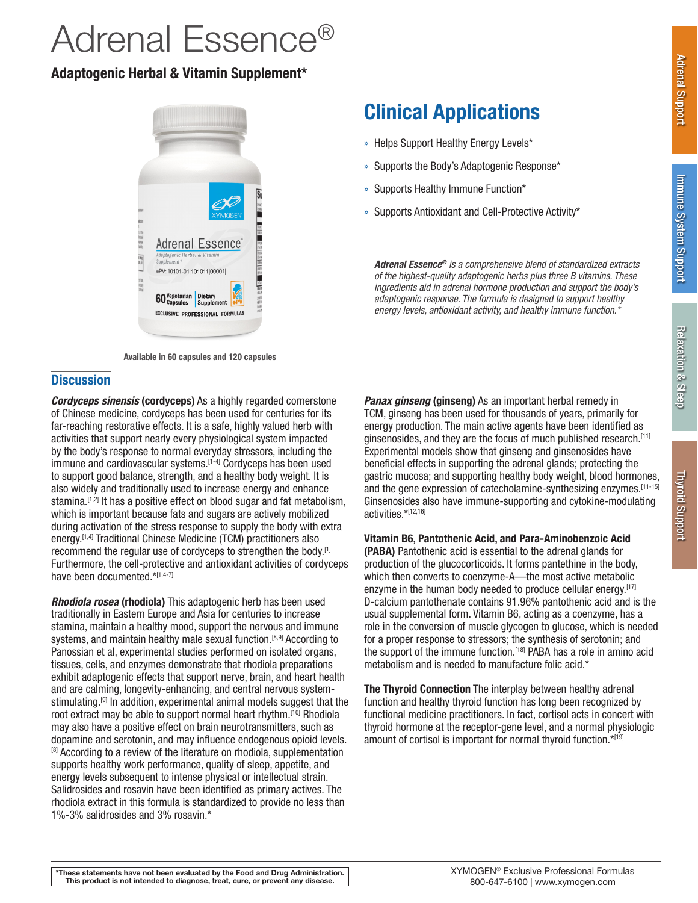# Adrenal Essence®

### Adaptogenic Herbal & Vitamin Supplement\*



Available in 60 capsules and 120 capsules

### **Discussion**

*Cordyceps sinensis* (cordyceps) As a highly regarded cornerstone of Chinese medicine, cordyceps has been used for centuries for its far-reaching restorative effects. It is a safe, highly valued herb with activities that support nearly every physiological system impacted by the body's response to normal everyday stressors, including the immune and cardiovascular systems.<sup>[1-4]</sup> Cordyceps has been used to support good balance, strength, and a healthy body weight. It is also widely and traditionally used to increase energy and enhance stamina.  $[1,2]$  It has a positive effect on blood sugar and fat metabolism, which is important because fats and sugars are actively mobilized during activation of the stress response to supply the body with extra energy.[1,4] Traditional Chinese Medicine (TCM) practitioners also recommend the regular use of cordyceps to strengthen the body.<sup>[1]</sup> Furthermore, the cell-protective and antioxidant activities of cordyceps have been documented.\*[1,4-7]

*Rhodiola rosea* (rhodiola) This adaptogenic herb has been used traditionally in Eastern Europe and Asia for centuries to increase stamina, maintain a healthy mood, support the nervous and immune systems, and maintain healthy male sexual function.<sup>[8,9]</sup> According to Panossian et al, experimental studies performed on isolated organs, tissues, cells, and enzymes demonstrate that rhodiola preparations exhibit adaptogenic effects that support nerve, brain, and heart health and are calming, longevity-enhancing, and central nervous systemstimulating.<sup>[9]</sup> In addition, experimental animal models suggest that the root extract may be able to support normal heart rhythm.<sup>[10]</sup> Rhodiola may also have a positive effect on brain neurotransmitters, such as dopamine and serotonin, and may influence endogenous opioid levels. <sup>[8]</sup> According to a review of the literature on rhodiola, supplementation supports healthy work performance, quality of sleep, appetite, and energy levels subsequent to intense physical or intellectual strain. Salidrosides and rosavin have been identified as primary actives. The rhodiola extract in this formula is standardized to provide no less than 1%-3% salidrosides and 3% rosavin.\*

## Clinical Applications

- » Helps Support Healthy Energy Levels\*
- » Supports the Body's Adaptogenic Response\*
- » Supports Healthy Immune Function\*
- » Supports Antioxidant and Cell-Protective Activity\*

*Adrenal Essence® is a comprehensive blend of standardized extracts of the highest-quality adaptogenic herbs plus three B vitamins. These ingredients aid in adrenal hormone production and support the body's adaptogenic response. The formula is designed to support healthy energy levels, antioxidant activity, and healthy immune function.\**

**Panax ginseng (ginseng)** As an important herbal remedy in TCM, ginseng has been used for thousands of years, primarily for energy production. The main active agents have been identified as ginsenosides, and they are the focus of much published research.[11] Experimental models show that ginseng and ginsenosides have beneficial effects in supporting the adrenal glands; protecting the gastric mucosa; and supporting healthy body weight, blood hormones, and the gene expression of catecholamine-synthesizing enzymes.[11-15] Ginsenosides also have immune-supporting and cytokine-modulating activities.\*[12,16]

### Vitamin B6, Pantothenic Acid, and Para-Aminobenzoic Acid

(PABA) Pantothenic acid is essential to the adrenal glands for production of the glucocorticoids. It forms pantethine in the body, which then converts to coenzyme-A—the most active metabolic enzyme in the human body needed to produce cellular energy.<sup>[17]</sup> D-calcium pantothenate contains 91.96% pantothenic acid and is the usual supplemental form. Vitamin B6, acting as a coenzyme, has a role in the conversion of muscle glycogen to glucose, which is needed for a proper response to stressors; the synthesis of serotonin; and the support of the immune function.<sup>[18]</sup> PABA has a role in amino acid metabolism and is needed to manufacture folic acid.\*

The Thyroid Connection The interplay between healthy adrenal function and healthy thyroid function has long been recognized by functional medicine practitioners. In fact, cortisol acts in concert with thyroid hormone at the receptor-gene level, and a normal physiologic amount of cortisol is important for normal thyroid function.\*[19]